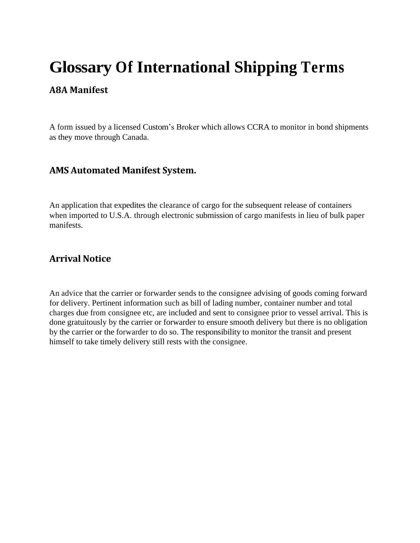# **Glossary Of International Shipping Terms**

#### **A8A Manifest**

A form issued by a licensed Custom's Broker which allows CCRA to monitor in bond shipments as they move through Canada.

## **AMS Automated Manifest System.**

An application that expedites the clearance of cargo for the subsequent release of containers when imported to U.S.A. through electronic submission of cargo manifests in lieu of bulk paper manifests.

## **Arrival Notice**

An advice that the carrier or forwarder sends to the consignee advising of goods coming forward for delivery. Pertinent information such as bill of lading number, container number and total charges due from consignee etc, are included and sent to consignee prior to vessel arrival. This is done gratuitously by the carrier or forwarder to ensure smooth delivery but there is no obligation by the carrier or the forwarder to do so. The responsibility to monitor the transit and present himself to take timely delivery still rests with the consignee.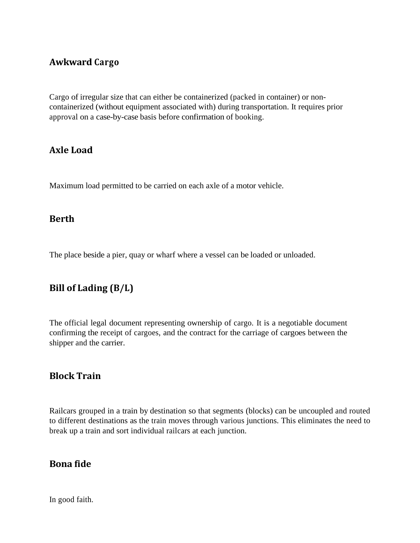#### **Awkward Cargo**

Cargo of irregular size that can either be containerized (packed in container) or noncontainerized (without equipment associated with) during transportation. It requires prior approval on a case-by-case basis before confirmation of booking.

#### **Axle Load**

Maximum load permitted to be carried on each axle of a motor vehicle.

#### **Berth**

The place beside a pier, quay or wharf where a vessel can be loaded or unloaded.

# **Bill of Lading (B/L)**

The official legal document representing ownership of cargo. It is a negotiable document confirming the receipt of cargoes, and the contract for the carriage of cargoes between the shipper and the carrier.

#### **Block Train**

Railcars grouped in a train by destination so that segments (blocks) can be uncoupled and routed to different destinations as the train moves through various junctions. This eliminates the need to break up a train and sort individual railcars at each junction.

#### **Bona fide**

In good faith.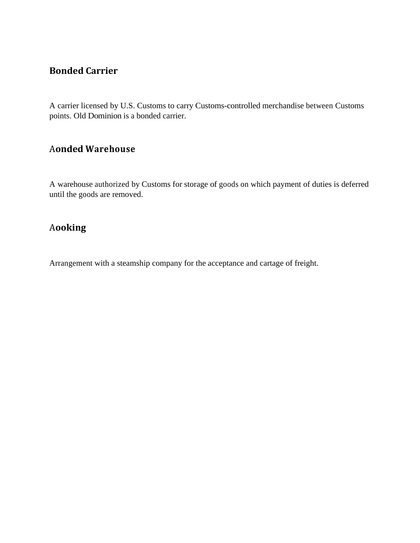# **Bonded Carrier**

A carrier licensed by U.S. Customs to carry Customs-controlled merchandise between Customs points. Old Dominion is a bonded carrier.

# A**onded Warehouse**

A warehouse authorized by Customs for storage of goods on which payment of duties is deferred until the goods are removed.

# A**ooking**

Arrangement with a steamship company for the acceptance and cartage of freight.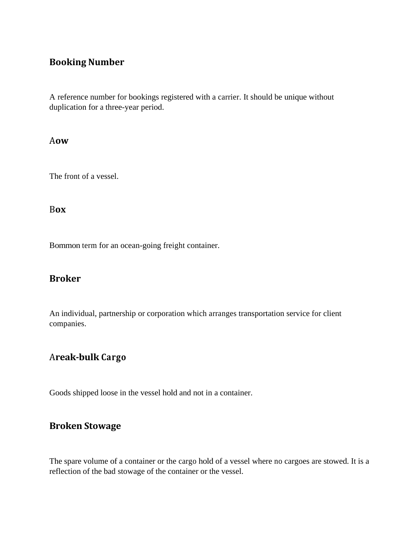# **Booking Number**

A reference number for bookings registered with a carrier. It should be unique without duplication for a three-year period.

A**ow**

The front of a vessel.

#### B**ox**

Bommon term for an ocean-going freight container.

#### **Broker**

An individual, partnership or corporation which arranges transportation service for client companies.

# A**reak-bulk Cargo**

Goods shipped loose in the vessel hold and not in a container.

#### **Broken Stowage**

The spare volume of a container or the cargo hold of a vessel where no cargoes are stowed. It is a reflection of the bad stowage of the container or the vessel.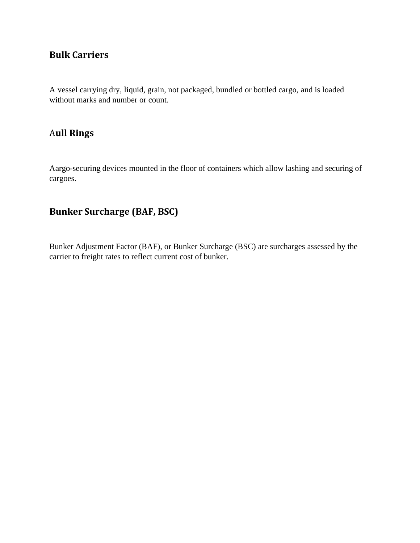# **Bulk Carriers**

A vessel carrying dry, liquid, grain, not packaged, bundled or bottled cargo, and is loaded without marks and number or count.

# A**ull Rings**

Aargo-securing devices mounted in the floor of containers which allow lashing and securing of cargoes.

#### **Bunker Surcharge (BAF, BSC)**

Bunker Adjustment Factor (BAF), or Bunker Surcharge (BSC) are surcharges assessed by the carrier to freight rates to reflect current cost of bunker.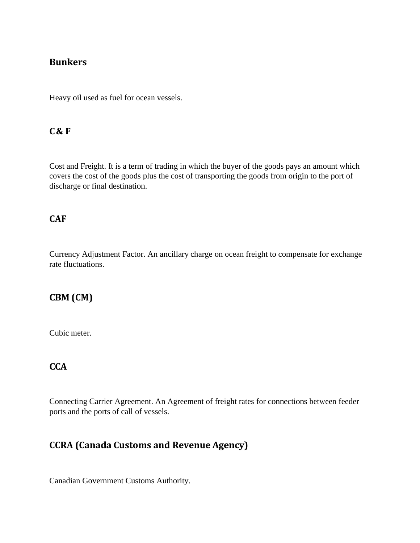# **Bunkers**

Heavy oil used as fuel for ocean vessels.

#### **C& F**

Cost and Freight. It is a term of trading in which the buyer of the goods pays an amount which covers the cost of the goods plus the cost of transporting the goods from origin to the port of discharge or final destination.

#### **CAF**

Currency Adjustment Factor. An ancillary charge on ocean freight to compensate for exchange rate fluctuations.

#### **CBM (CM)**

Cubic meter.

#### **CCA**

Connecting Carrier Agreement. An Agreement of freight rates for connections between feeder ports and the ports of call of vessels.

#### **CCRA (Canada Customs and Revenue Agency)**

Canadian Government Customs Authority.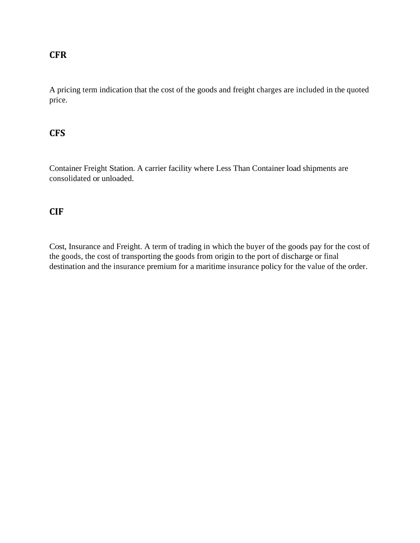# **CFR**

A pricing term indication that the cost of the goods and freight charges are included in the quoted price.

#### **CFS**

Container Freight Station. A carrier facility where Less Than Container load shipments are consolidated or unloaded.

#### **CIF**

Cost, Insurance and Freight. A term of trading in which the buyer of the goods pay for the cost of the goods, the cost of transporting the goods from origin to the port of discharge or final destination and the insurance premium for a maritime insurance policy for the value of the order.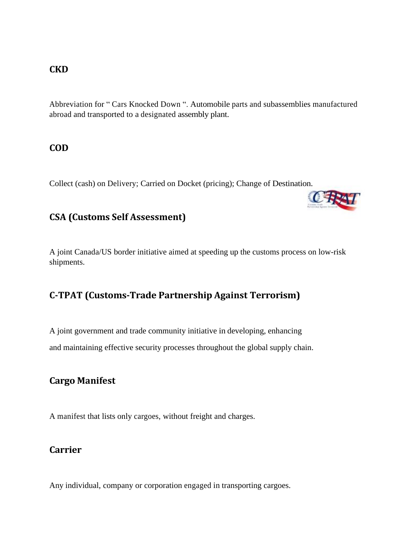#### **CKD**

Abbreviation for " Cars Knocked Down ". Automobile parts and subassemblies manufactured abroad and transported to a designated assembly plant.

#### **COD**

Collect (cash) on Delivery; Carried on Docket (pricing); Change of Destination.



## **CSA (Customs Self Assessment)**

A joint Canada/US border initiative aimed at speeding up the customs process on low-risk shipments.

# **C-TPAT (Customs-Trade Partnership Against Terrorism)**

A joint government and trade community initiative in developing, enhancing and maintaining effective security processes throughout the global supply chain.

# **Cargo Manifest**

A manifest that lists only cargoes, without freight and charges.

#### **Carrier**

Any individual, company or corporation engaged in transporting cargoes.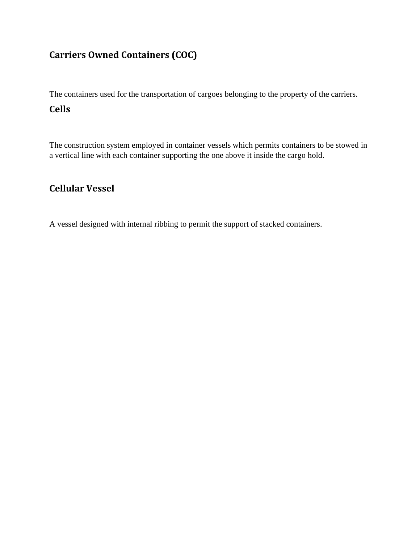# **Carriers Owned Containers (COC)**

The containers used for the transportation of cargoes belonging to the property of the carriers.

# **Cells**

The construction system employed in container vessels which permits containers to be stowed in a vertical line with each container supporting the one above it inside the cargo hold.

# **Cellular Vessel**

A vessel designed with internal ribbing to permit the support of stacked containers.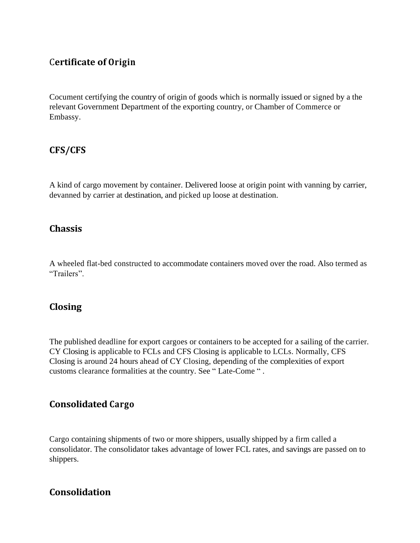# C**ertificate of Origin**

Cocument certifying the country of origin of goods which is normally issued or signed by a the relevant Government Department of the exporting country, or Chamber of Commerce or Embassy.

# **CFS/CFS**

A kind of cargo movement by container. Delivered loose at origin point with vanning by carrier, devanned by carrier at destination, and picked up loose at destination.

#### **Chassis**

A wheeled flat-bed constructed to accommodate containers moved over the road. Also termed as "Trailers".

#### **Closing**

The published deadline for export cargoes or containers to be accepted for a sailing of the carrier. CY Closing is applicable to FCLs and CFS Closing is applicable to LCLs. Normally, CFS Closing is around 24 hours ahead of CY Closing, depending of the complexities of export customs clearance formalities at the country. See " Late-Come " .

#### **Consolidated Cargo**

Cargo containing shipments of two or more shippers, usually shipped by a firm called a consolidator. The consolidator takes advantage of lower FCL rates, and savings are passed on to shippers.

#### **Consolidation**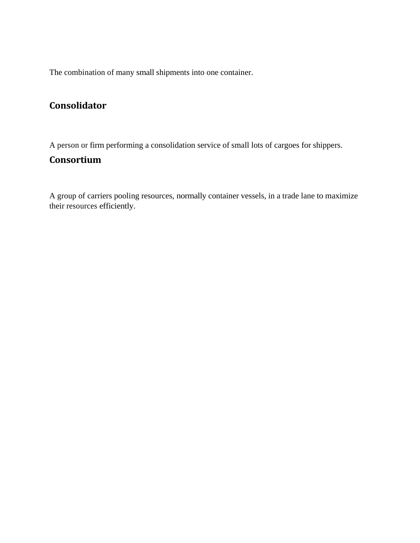The combination of many small shipments into one container.

# **Consolidator**

A person or firm performing a consolidation service of small lots of cargoes for shippers.

# **Consortium**

A group of carriers pooling resources, normally container vessels, in a trade lane to maximize their resources efficiently.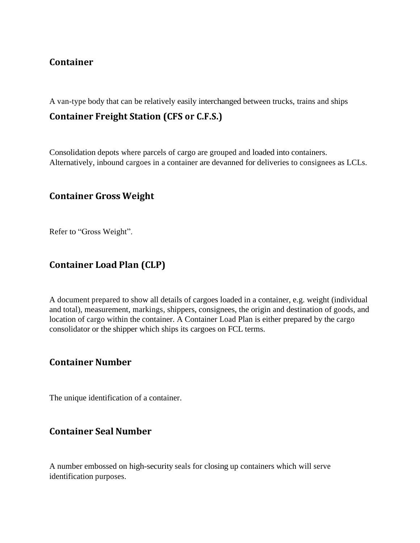#### **Container**

A van-type body that can be relatively easily interchanged between trucks, trains and ships

#### **Container Freight Station (CFS or C.F.S.)**

Consolidation depots where parcels of cargo are grouped and loaded into containers. Alternatively, inbound cargoes in a container are devanned for deliveries to consignees as LCLs.

#### **Container Gross Weight**

Refer to "Gross Weight".

#### **Container Load Plan (CLP)**

A document prepared to show all details of cargoes loaded in a container, e.g. weight (individual and total), measurement, markings, shippers, consignees, the origin and destination of goods, and location of cargo within the container. A Container Load Plan is either prepared by the cargo consolidator or the shipper which ships its cargoes on FCL terms.

#### **Container Number**

The unique identification of a container.

#### **Container Seal Number**

A number embossed on high-security seals for closing up containers which will serve identification purposes.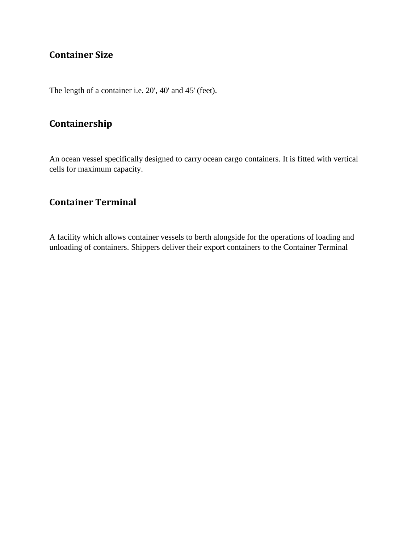# **Container Size**

The length of a container i.e. 20', 40' and 45' (feet).

#### **Containership**

An ocean vessel specifically designed to carry ocean cargo containers. It is fitted with vertical cells for maximum capacity.

# **Container Terminal**

A facility which allows container vessels to berth alongside for the operations of loading and unloading of containers. Shippers deliver their export containers to the Container Terminal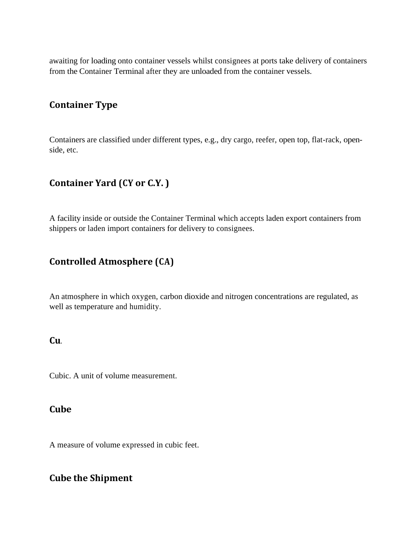awaiting for loading onto container vessels whilst consignees at ports take delivery of containers from the Container Terminal after they are unloaded from the container vessels.

# **Container Type**

Containers are classified under different types, e.g., dry cargo, reefer, open top, flat-rack, openside, etc.

# **Container Yard (CY or C.Y. )**

A facility inside or outside the Container Terminal which accepts laden export containers from shippers or laden import containers for delivery to consignees.

# **Controlled Atmosphere (CA)**

An atmosphere in which oxygen, carbon dioxide and nitrogen concentrations are regulated, as well as temperature and humidity.

#### **Cu**.

Cubic. A unit of volume measurement.

#### **Cube**

A measure of volume expressed in cubic feet.

#### **Cube the Shipment**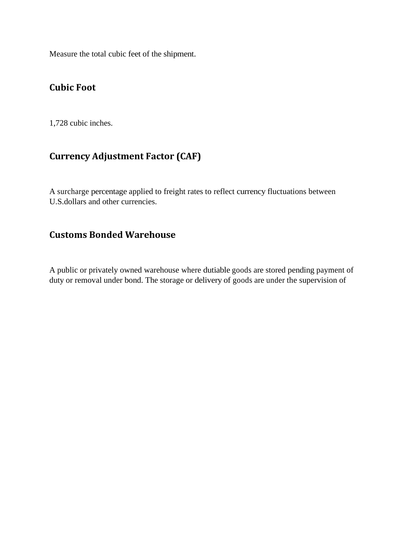Measure the total cubic feet of the shipment.

#### **Cubic Foot**

1,728 cubic inches.

# **Currency Adjustment Factor (CAF)**

A surcharge percentage applied to freight rates to reflect currency fluctuations between U.S.dollars and other currencies.

# **Customs Bonded Warehouse**

A public or privately owned warehouse where dutiable goods are stored pending payment of duty or removal under bond. The storage or delivery of goods are under the supervision of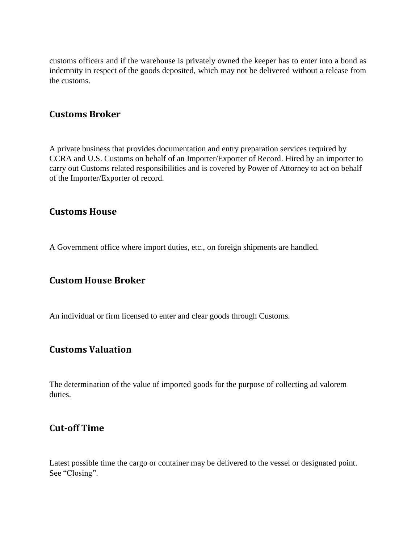customs officers and if the warehouse is privately owned the keeper has to enter into a bond as indemnity in respect of the goods deposited, which may not be delivered without a release from the customs.

#### **Customs Broker**

A private business that provides documentation and entry preparation services required by CCRA and U.S. Customs on behalf of an Importer/Exporter of Record. Hired by an importer to carry out Customs related responsibilities and is covered by Power of Attorney to act on behalf of the Importer/Exporter of record.

#### **Customs House**

A Government office where import duties, etc., on foreign shipments are handled.

#### **Custom House Broker**

An individual or firm licensed to enter and clear goods through Customs.

#### **Customs Valuation**

The determination of the value of imported goods for the purpose of collecting ad valorem duties.

#### **Cut-off Time**

Latest possible time the cargo or container may be delivered to the vessel or designated point. See "Closing".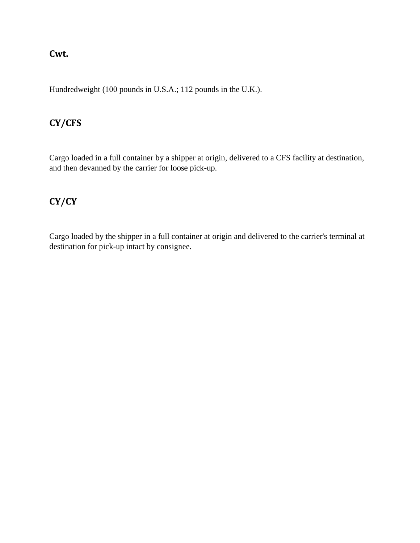#### **Cwt.**

Hundredweight (100 pounds in U.S.A.; 112 pounds in the U.K.).

# **CY/CFS**

Cargo loaded in a full container by a shipper at origin, delivered to a CFS facility at destination, and then devanned by the carrier for loose pick-up.

# **CY/CY**

Cargo loaded by the shipper in a full container at origin and delivered to the carrier's terminal at destination for pick-up intact by consignee.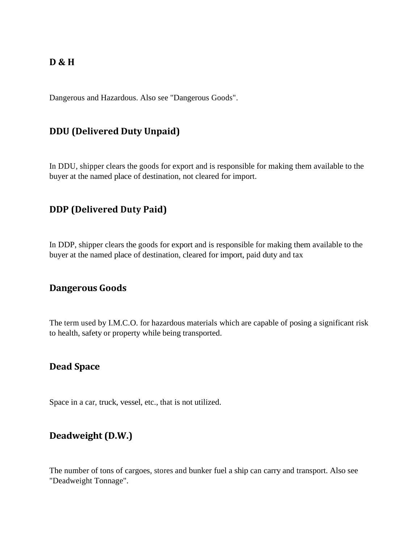Dangerous and Hazardous. Also see "Dangerous Goods".

#### **DDU (Delivered Duty Unpaid)**

In DDU, shipper clears the goods for export and is responsible for making them available to the buyer at the named place of destination, not cleared for import.

#### **DDP (Delivered Duty Paid)**

In DDP, shipper clears the goods for export and is responsible for making them available to the buyer at the named place of destination, cleared for import, paid duty and tax

#### **Dangerous Goods**

The term used by I.M.C.O. for hazardous materials which are capable of posing a significant risk to health, safety or property while being transported.

#### **Dead Space**

Space in a car, truck, vessel, etc., that is not utilized.

#### **Deadweight (D.W.)**

The number of tons of cargoes, stores and bunker fuel a ship can carry and transport. Also see "Deadweight Tonnage".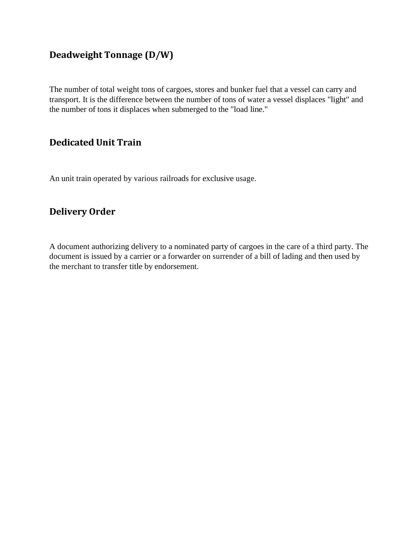# **Deadweight Tonnage (D/W)**

The number of total weight tons of cargoes, stores and bunker fuel that a vessel can carry and transport. It is the difference between the number of tons of water a vessel displaces "light" and the number of tons it displaces when submerged to the "load line."

#### **Dedicated Unit Train**

An unit train operated by various railroads for exclusive usage.

## **Delivery Order**

A document authorizing delivery to a nominated party of cargoes in the care of a third party. The document is issued by a carrier or a forwarder on surrender of a bill of lading and then used by the merchant to transfer title by endorsement.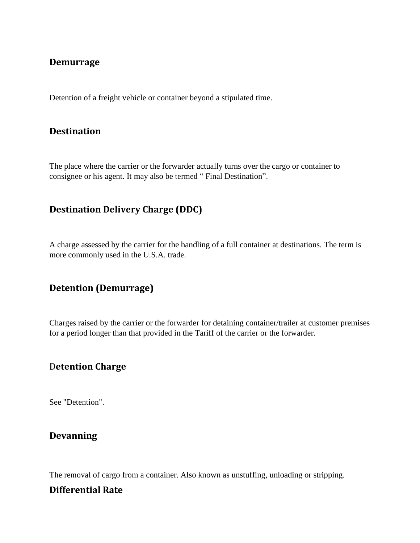#### **Demurrage**

Detention of a freight vehicle or container beyond a stipulated time.

#### **Destination**

The place where the carrier or the forwarder actually turns over the cargo or container to consignee or his agent. It may also be termed " Final Destination".

## **Destination Delivery Charge (DDC)**

A charge assessed by the carrier for the handling of a full container at destinations. The term is more commonly used in the U.S.A. trade.

#### **Detention (Demurrage)**

Charges raised by the carrier or the forwarder for detaining container/trailer at customer premises for a period longer than that provided in the Tariff of the carrier or the forwarder.

#### D**etention Charge**

See "Detention".

#### **Devanning**

The removal of cargo from a container. Also known as unstuffing, unloading or stripping.

#### **Differential Rate**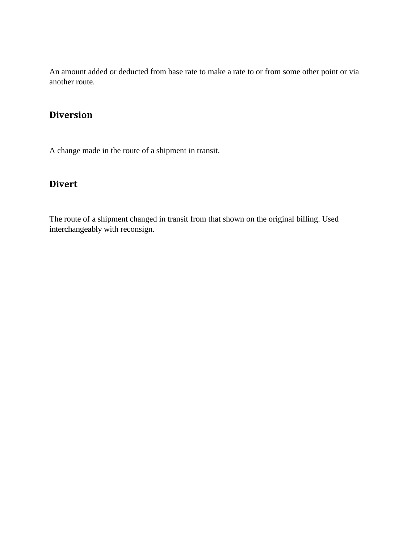An amount added or deducted from base rate to make a rate to or from some other point or via another route.

# **Diversion**

A change made in the route of a shipment in transit.

# **Divert**

The route of a shipment changed in transit from that shown on the original billing. Used interchangeably with reconsign.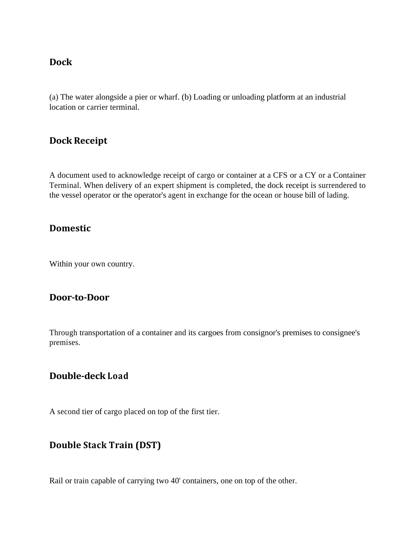#### **Dock**

(a) The water alongside a pier or wharf. (b) Loading or unloading platform at an industrial location or carrier terminal.

#### **Dock Receipt**

A document used to acknowledge receipt of cargo or container at a CFS or a CY or a Container Terminal. When delivery of an expert shipment is completed, the dock receipt is surrendered to the vessel operator or the operator's agent in exchange for the ocean or house bill of lading.

#### **Domestic**

Within your own country.

#### **Door-to-Door**

Through transportation of a container and its cargoes from consignor's premises to consignee's premises.

#### **Double-deck Load**

A second tier of cargo placed on top of the first tier.

# **Double Stack Train (DST)**

Rail or train capable of carrying two 40' containers, one on top of the other.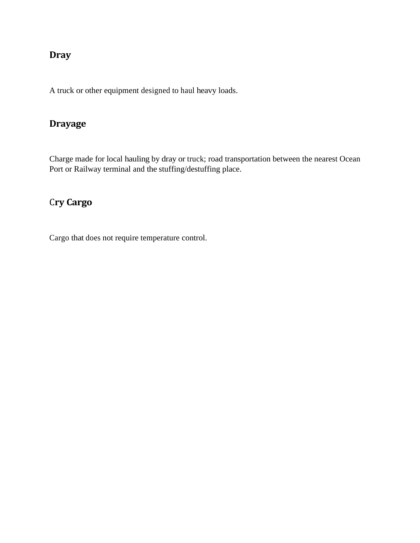# **Dray**

A truck or other equipment designed to haul heavy loads.

# **Drayage**

Charge made for local hauling by dray or truck; road transportation between the nearest Ocean Port or Railway terminal and the stuffing/destuffing place.

# C**ry Cargo**

Cargo that does not require temperature control.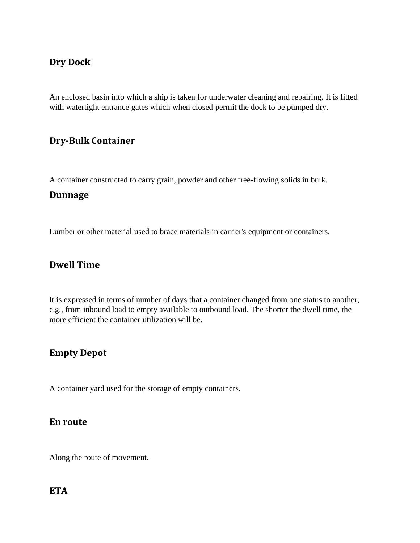# **Dry Dock**

An enclosed basin into which a ship is taken for underwater cleaning and repairing. It is fitted with watertight entrance gates which when closed permit the dock to be pumped dry.

# **Dry-Bulk Container**

A container constructed to carry grain, powder and other free-flowing solids in bulk.

#### **Dunnage**

Lumber or other material used to brace materials in carrier's equipment or containers.

#### **Dwell Time**

It is expressed in terms of number of days that a container changed from one status to another, e.g., from inbound load to empty available to outbound load. The shorter the dwell time, the more efficient the container utilization will be.

#### **Empty Depot**

A container yard used for the storage of empty containers.

#### **En route**

Along the route of movement.

#### **ETA**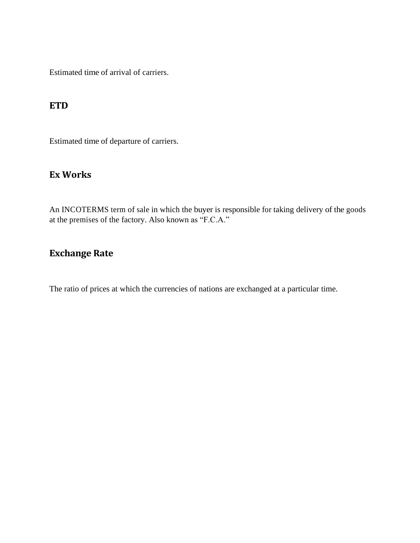Estimated time of arrival of carriers.

## **ETD**

Estimated time of departure of carriers.

# **Ex Works**

An INCOTERMS term of sale in which the buyer is responsible for taking delivery of the goods at the premises of the factory. Also known as "F.C.A."

# **Exchange Rate**

The ratio of prices at which the currencies of nations are exchanged at a particular time.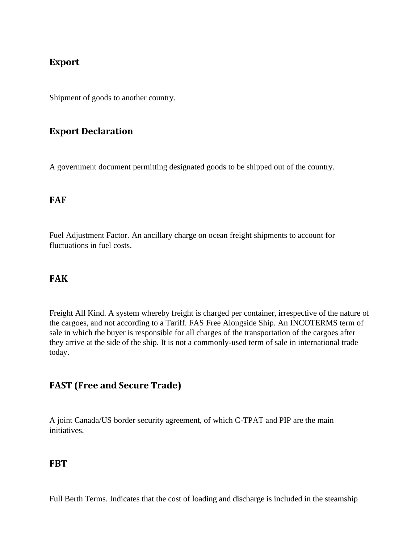#### **Export**

Shipment of goods to another country.

#### **Export Declaration**

A government document permitting designated goods to be shipped out of the country.

#### **FAF**

Fuel Adjustment Factor. An ancillary charge on ocean freight shipments to account for fluctuations in fuel costs.

#### **FAK**

Freight All Kind. A system whereby freight is charged per container, irrespective of the nature of the cargoes, and not according to a Tariff. FAS Free Alongside Ship. An INCOTERMS term of sale in which the buyer is responsible for all charges of the transportation of the cargoes after they arrive at the side of the ship. It is not a commonly-used term of sale in international trade today.

# **FAST (Free and Secure Trade)**

A joint Canada/US border security agreement, of which C-TPAT and PIP are the main initiatives.

#### **FBT**

Full Berth Terms. Indicates that the cost of loading and discharge is included in the steamship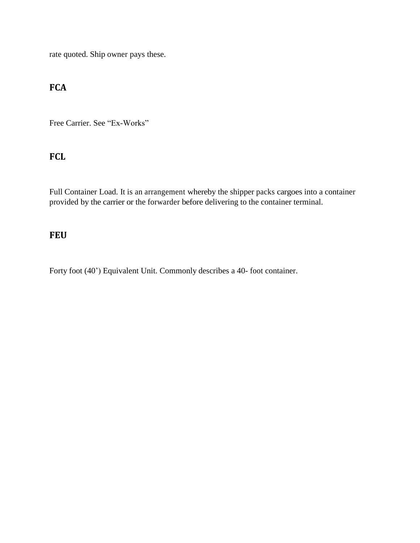rate quoted. Ship owner pays these.

## **FCA**

Free Carrier. See "Ex-Works"

### **FCL**

Full Container Load. It is an arrangement whereby the shipper packs cargoes into a container provided by the carrier or the forwarder before delivering to the container terminal.

#### **FEU**

Forty foot (40') Equivalent Unit. Commonly describes a 40- foot container.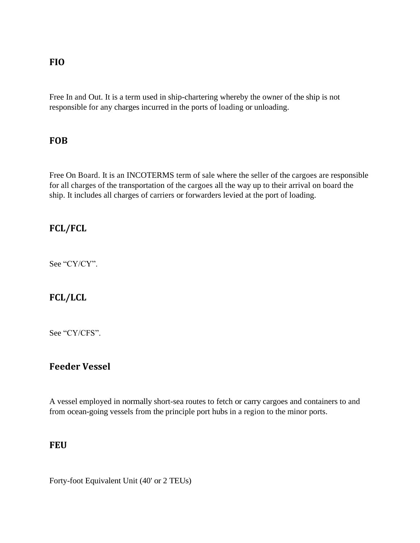#### **FIO**

Free In and Out. It is a term used in ship-chartering whereby the owner of the ship is not responsible for any charges incurred in the ports of loading or unloading.

#### **FOB**

Free On Board. It is an INCOTERMS term of sale where the seller of the cargoes are responsible for all charges of the transportation of the cargoes all the way up to their arrival on board the ship. It includes all charges of carriers or forwarders levied at the port of loading.

# **FCL/FCL**

See "CY/CY".

# **FCL/LCL**

See "CY/CFS".

#### **Feeder Vessel**

A vessel employed in normally short-sea routes to fetch or carry cargoes and containers to and from ocean-going vessels from the principle port hubs in a region to the minor ports.

#### **FEU**

Forty-foot Equivalent Unit (40' or 2 TEUs)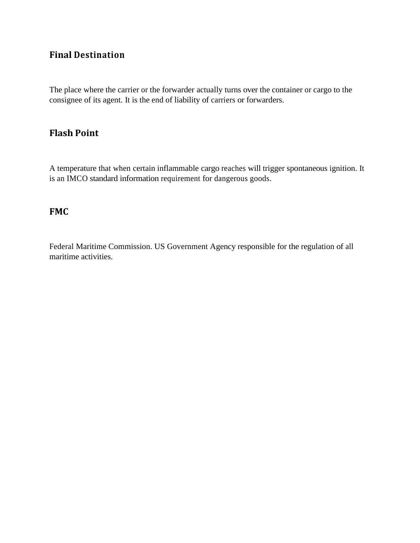# **Final Destination**

The place where the carrier or the forwarder actually turns over the container or cargo to the consignee of its agent. It is the end of liability of carriers or forwarders.

#### **Flash Point**

A temperature that when certain inflammable cargo reaches will trigger spontaneous ignition. It is an IMCO standard information requirement for dangerous goods.

#### **FMC**

Federal Maritime Commission. US Government Agency responsible for the regulation of all maritime activities.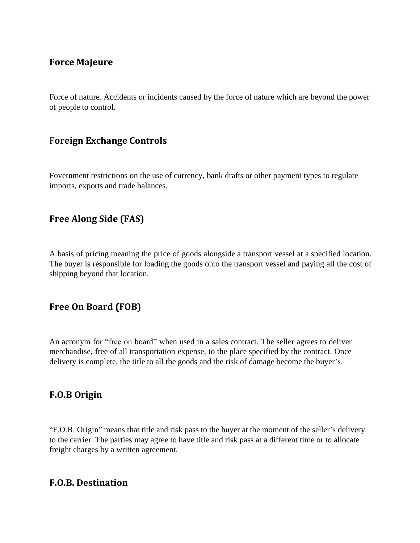#### **Force Majeure**

Force of nature. Accidents or incidents caused by the force of nature which are beyond the power of people to control.

#### F**oreign Exchange Controls**

Fovernment restrictions on the use of currency, bank drafts or other payment types to regulate imports, exports and trade balances.

#### **Free Along Side (FAS)**

A basis of pricing meaning the price of goods alongside a transport vessel at a specified location. The buyer is responsible for loading the goods onto the transport vessel and paying all the cost of shipping beyond that location.

# **Free On Board (FOB)**

An acronym for "free on board" when used in a sales contract. The seller agrees to deliver merchandise, free of all transportation expense, to the place specified by the contract. Once delivery is complete, the title to all the goods and the risk of damage become the buyer's.

#### **F.O.B Origin**

"F.O.B. Origin" means that title and risk pass to the buyer at the moment of the seller's delivery to the carrier. The parties may agree to have title and risk pass at a different time or to allocate freight charges by a written agreement.

#### **F.O.B. Destination**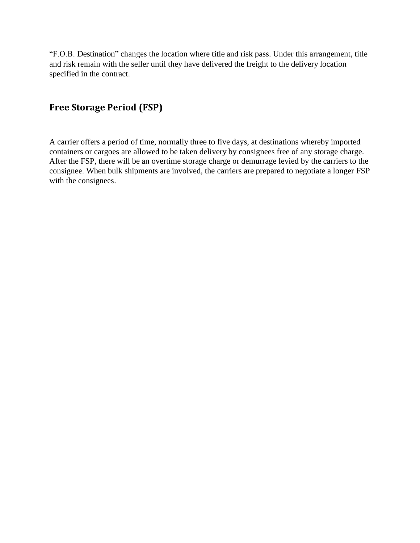"F.O.B. Destination" changes the location where title and risk pass. Under this arrangement, title and risk remain with the seller until they have delivered the freight to the delivery location specified in the contract.

# **Free Storage Period (FSP)**

A carrier offers a period of time, normally three to five days, at destinations whereby imported containers or cargoes are allowed to be taken delivery by consignees free of any storage charge. After the FSP, there will be an overtime storage charge or demurrage levied by the carriers to the consignee. When bulk shipments are involved, the carriers are prepared to negotiate a longer FSP with the consignees.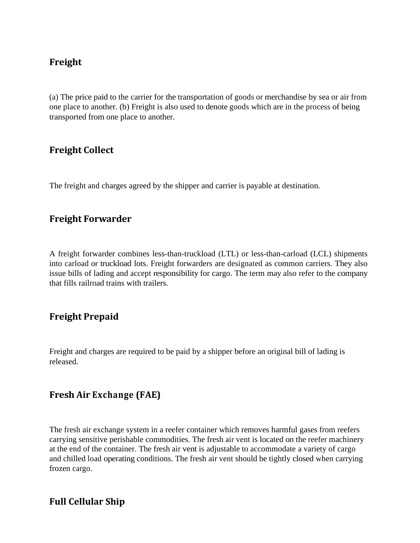#### **Freight**

(a) The price paid to the carrier for the transportation of goods or merchandise by sea or air from one place to another. (b) Freight is also used to denote goods which are in the process of being transported from one place to another.

# **Freight Collect**

The freight and charges agreed by the shipper and carrier is payable at destination.

#### **Freight Forwarder**

A freight forwarder combines less-than-truckload (LTL) or less-than-carload (LCL) shipments into carload or truckload lots. Freight forwarders are designated as common carriers. They also issue bills of lading and accept responsibility for cargo. The term may also refer to the company that fills railroad trains with trailers.

#### **Freight Prepaid**

Freight and charges are required to be paid by a shipper before an original bill of lading is released.

# **Fresh Air Exchange (FAE)**

The fresh air exchange system in a reefer container which removes harmful gases from reefers carrying sensitive perishable commodities. The fresh air vent is located on the reefer machinery at the end of the container. The fresh air vent is adjustable to accommodate a variety of cargo and chilled load operating conditions. The fresh air vent should be tightly closed when carrying frozen cargo.

#### **Full Cellular Ship**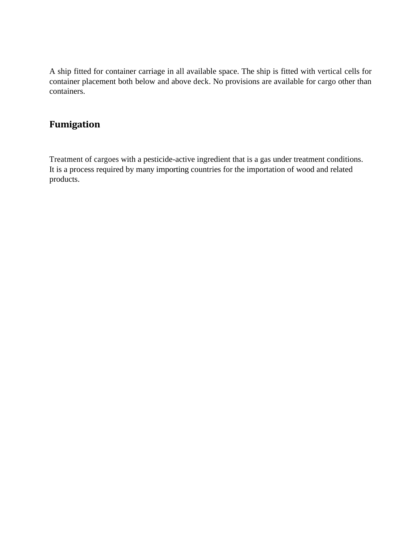A ship fitted for container carriage in all available space. The ship is fitted with vertical cells for container placement both below and above deck. No provisions are available for cargo other than containers.

# **Fumigation**

Treatment of cargoes with a pesticide-active ingredient that is a gas under treatment conditions. It is a process required by many importing countries for the importation of wood and related products.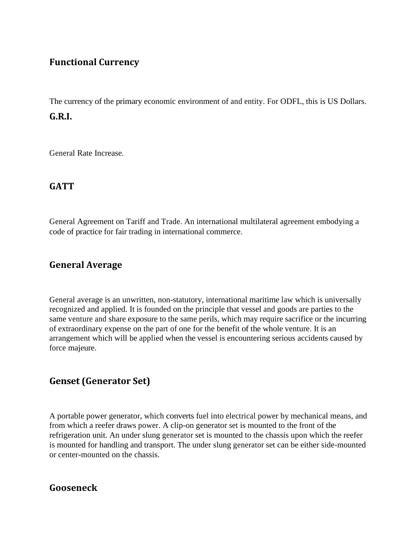#### **Functional Currency**

The currency of the primary economic environment of and entity. For ODFL, this is US Dollars. **G.R.I.**

General Rate Increase.

#### **GATT**

General Agreement on Tariff and Trade. An international multilateral agreement embodying a code of practice for fair trading in international commerce.

#### **General Average**

General average is an unwritten, non-statutory, international maritime law which is universally recognized and applied. It is founded on the principle that vessel and goods are parties to the same venture and share exposure to the same perils, which may require sacrifice or the incurring of extraordinary expense on the part of one for the benefit of the whole venture. It is an arrangement which will be applied when the vessel is encountering serious accidents caused by force majeure.

#### **Genset (Generator Set)**

A portable power generator, which converts fuel into electrical power by mechanical means, and from which a reefer draws power. A clip-on generator set is mounted to the front of the refrigeration unit. An under slung generator set is mounted to the chassis upon which the reefer is mounted for handling and transport. The under slung generator set can be either side-mounted or center-mounted on the chassis.

#### **Gooseneck**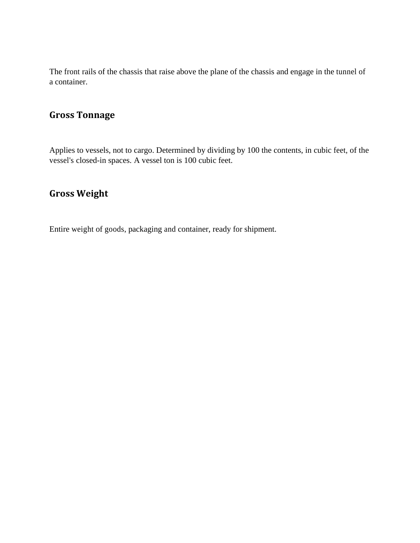The front rails of the chassis that raise above the plane of the chassis and engage in the tunnel of a container.

# **Gross Tonnage**

Applies to vessels, not to cargo. Determined by dividing by 100 the contents, in cubic feet, of the vessel's closed-in spaces. A vessel ton is 100 cubic feet.

# **Gross Weight**

Entire weight of goods, packaging and container, ready for shipment.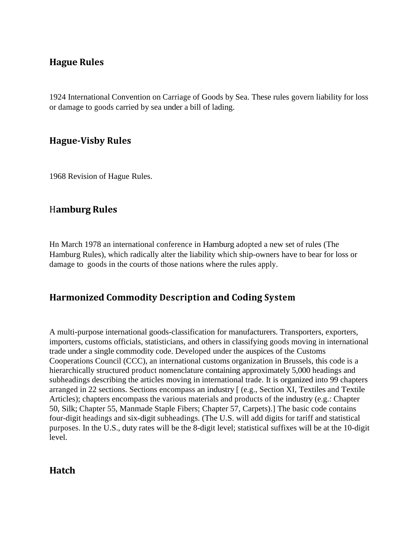#### **Hague Rules**

1924 International Convention on Carriage of Goods by Sea. These rules govern liability for loss or damage to goods carried by sea under a bill of lading.

#### **Hague-Visby Rules**

1968 Revision of Hague Rules.

#### H**amburg Rules**

Hn March 1978 an international conference in Hamburg adopted a new set of rules (The Hamburg Rules), which radically alter the liability which ship-owners have to bear for loss or damage to goods in the courts of those nations where the rules apply.

#### **Harmonized Commodity Description and Coding System**

A multi-purpose international goods-classification for manufacturers. Transporters, exporters, importers, customs officials, statisticians, and others in classifying goods moving in international trade under a single commodity code. Developed under the auspices of the Customs Cooperations Council (CCC), an international customs organization in Brussels, this code is a hierarchically structured product nomenclature containing approximately 5,000 headings and subheadings describing the articles moving in international trade. It is organized into 99 chapters arranged in 22 sections. Sections encompass an industry [ (e.g., Section XI, Textiles and Textile Articles); chapters encompass the various materials and products of the industry (e.g.: Chapter 50, Silk; Chapter 55, Manmade Staple Fibers; Chapter 57, Carpets).] The basic code contains four-digit headings and six-digit subheadings. (The U.S. will add digits for tariff and statistical purposes. In the U.S., duty rates will be the 8-digit level; statistical suffixes will be at the 10-digit level.

#### **Hatch**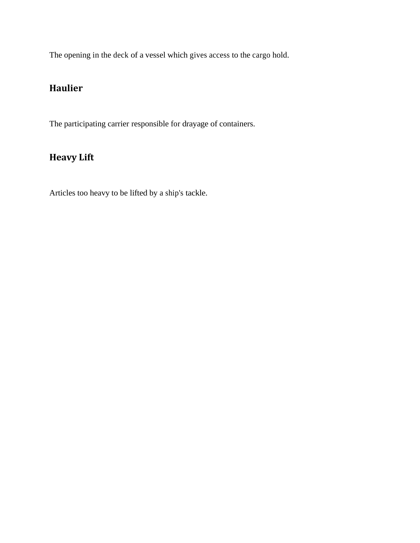The opening in the deck of a vessel which gives access to the cargo hold.

# **Haulier**

The participating carrier responsible for drayage of containers.

# **Heavy Lift**

Articles too heavy to be lifted by a ship's tackle.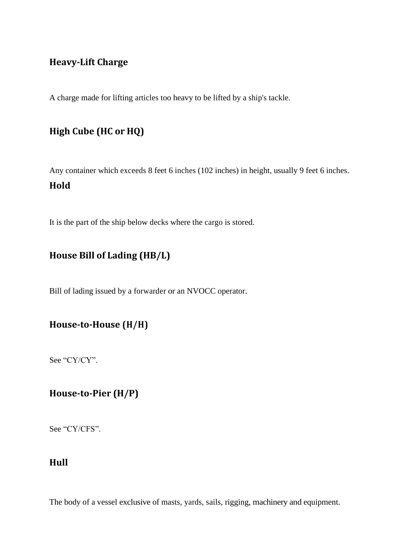## **Heavy-Lift Charge**

A charge made for lifting articles too heavy to be lifted by a ship's tackle.

# **High Cube (HC or HQ)**

Any container which exceeds 8 feet 6 inches (102 inches) in height, usually 9 feet 6 inches. **Hold**

It is the part of the ship below decks where the cargo is stored.

# **House Bill of Lading (HB/L)**

Bill of lading issued by a forwarder or an NVOCC operator.

## **House-to-House (H/H)**

See "CY/CY".

# **House-to-Pier (H/P)**

See "CY/CFS".

#### **Hull**

The body of a vessel exclusive of masts, yards, sails, rigging, machinery and equipment.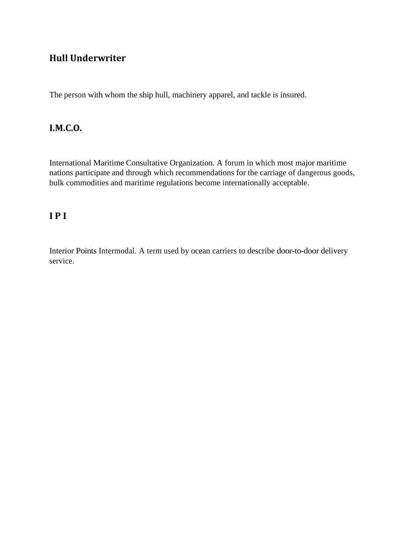# **Hull Underwriter**

The person with whom the ship hull, machinery apparel, and tackle is insured.

### **I.M.C.O.**

International Maritime Consultative Organization. A forum in which most major maritime nations participate and through which recommendations for the carriage of dangerous goods, bulk commodities and maritime regulations become internationally acceptable.

# **I P I**

Interior Points Intermodal. A term used by ocean carriers to describe door-to-door delivery service.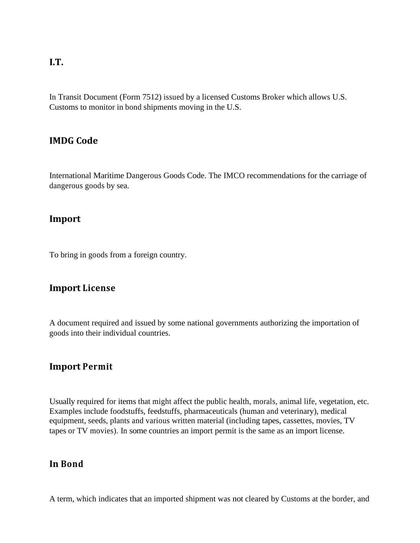#### **I.T.**

In Transit Document (Form 7512) issued by a licensed Customs Broker which allows U.S. Customs to monitor in bond shipments moving in the U.S.

#### **IMDG Code**

International Maritime Dangerous Goods Code. The IMCO recommendations for the carriage of dangerous goods by sea.

#### **Import**

To bring in goods from a foreign country.

#### **Import License**

A document required and issued by some national governments authorizing the importation of goods into their individual countries.

## **Import Permit**

Usually required for items that might affect the public health, morals, animal life, vegetation, etc. Examples include foodstuffs, feedstuffs, pharmaceuticals (human and veterinary), medical equipment, seeds, plants and various written material (including tapes, cassettes, movies, TV tapes or TV movies). In some countries an import permit is the same as an import license.

#### **In Bond**

A term, which indicates that an imported shipment was not cleared by Customs at the border, and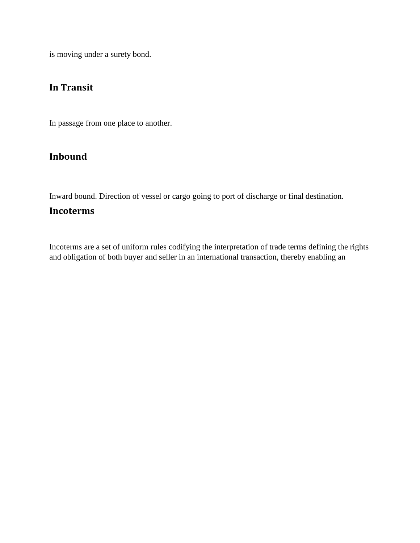is moving under a surety bond.

## **In Transit**

In passage from one place to another.

# **Inbound**

Inward bound. Direction of vessel or cargo going to port of discharge or final destination.

#### **Incoterms**

Incoterms are a set of uniform rules codifying the interpretation of trade terms defining the rights and obligation of both buyer and seller in an international transaction, thereby enabling an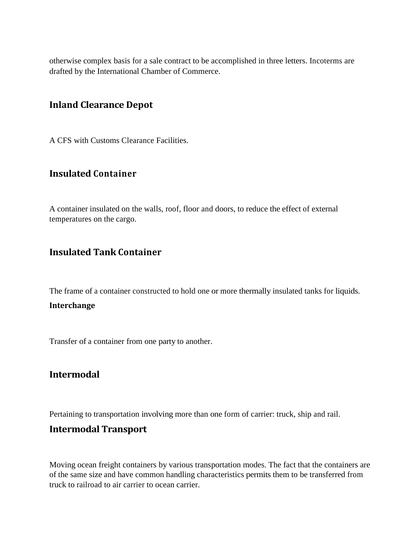otherwise complex basis for a sale contract to be accomplished in three letters. Incoterms are drafted by the International Chamber of Commerce.

### **Inland Clearance Depot**

A CFS with Customs Clearance Facilities.

#### **Insulated Container**

A container insulated on the walls, roof, floor and doors, to reduce the effect of external temperatures on the cargo.

#### **Insulated Tank Container**

The frame of a container constructed to hold one or more thermally insulated tanks for liquids. **Interchange**

Transfer of a container from one party to another.

#### **Intermodal**

Pertaining to transportation involving more than one form of carrier: truck, ship and rail.

#### **Intermodal Transport**

Moving ocean freight containers by various transportation modes. The fact that the containers are of the same size and have common handling characteristics permits them to be transferred from truck to railroad to air carrier to ocean carrier.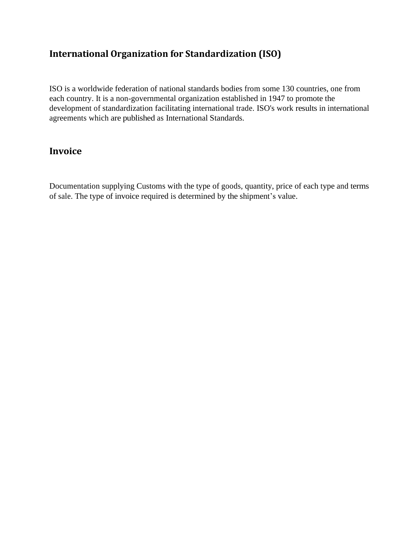# **International Organization for Standardization (ISO)**

ISO is a worldwide federation of national standards bodies from some 130 countries, one from each country. It is a non-governmental organization established in 1947 to promote the development of standardization facilitating international trade. ISO's work results in international agreements which are published as International Standards.

#### **Invoice**

Documentation supplying Customs with the type of goods, quantity, price of each type and terms of sale. The type of invoice required is determined by the shipment's value.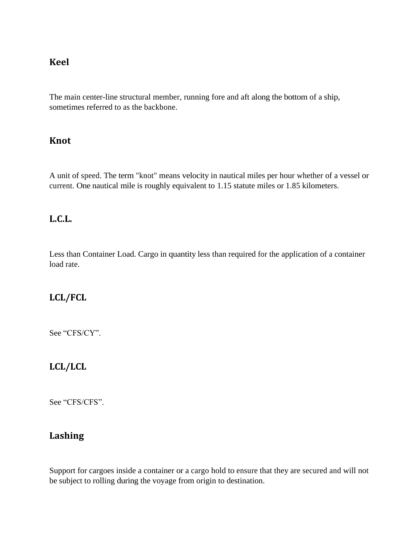# **Keel**

The main center-line structural member, running fore and aft along the bottom of a ship, sometimes referred to as the backbone.

## **Knot**

A unit of speed. The term "knot" means velocity in nautical miles per hour whether of a vessel or current. One nautical mile is roughly equivalent to 1.15 statute miles or 1.85 kilometers.

## **L.C.L.**

Less than Container Load. Cargo in quantity less than required for the application of a container load rate.

# **LCL/FCL**

See "CFS/CY".

# **LCL/LCL**

See "CFS/CFS".

# **Lashing**

Support for cargoes inside a container or a cargo hold to ensure that they are secured and will not be subject to rolling during the voyage from origin to destination.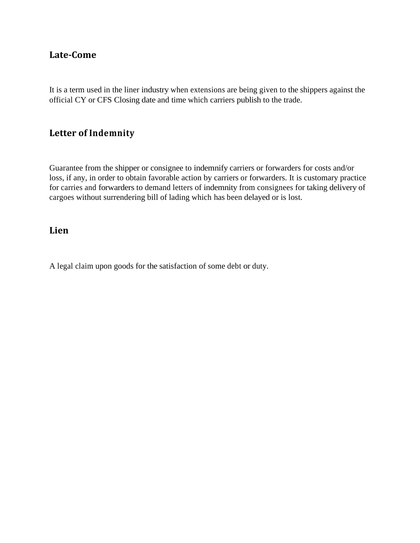## **Late-Come**

It is a term used in the liner industry when extensions are being given to the shippers against the official CY or CFS Closing date and time which carriers publish to the trade.

### **Letter of Indemnity**

Guarantee from the shipper or consignee to indemnify carriers or forwarders for costs and/or loss, if any, in order to obtain favorable action by carriers or forwarders. It is customary practice for carries and forwarders to demand letters of indemnity from consignees for taking delivery of cargoes without surrendering bill of lading which has been delayed or is lost.

#### **Lien**

A legal claim upon goods for the satisfaction of some debt or duty.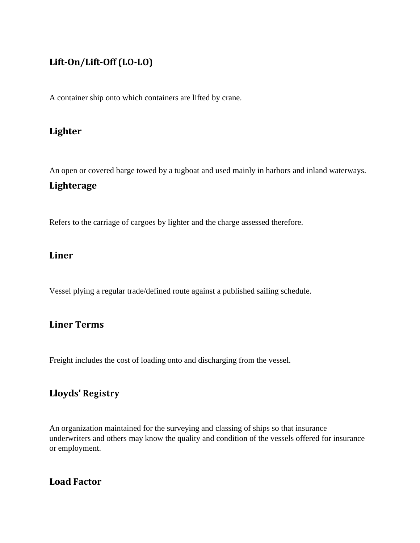# **Lift-On/Lift-Off (LO-LO)**

A container ship onto which containers are lifted by crane.

### **Lighter**

An open or covered barge towed by a tugboat and used mainly in harbors and inland waterways. **Lighterage**

Refers to the carriage of cargoes by lighter and the charge assessed therefore.

#### **Liner**

Vessel plying a regular trade/defined route against a published sailing schedule.

## **Liner Terms**

Freight includes the cost of loading onto and discharging from the vessel.

# **Lloyds' Registry**

An organization maintained for the surveying and classing of ships so that insurance underwriters and others may know the quality and condition of the vessels offered for insurance or employment.

## **Load Factor**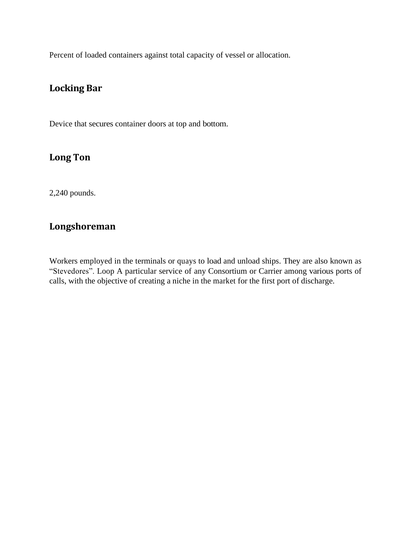Percent of loaded containers against total capacity of vessel or allocation.

# **Locking Bar**

Device that secures container doors at top and bottom.

## **Long Ton**

2,240 pounds.

## **Longshoreman**

Workers employed in the terminals or quays to load and unload ships. They are also known as "Stevedores". Loop A particular service of any Consortium or Carrier among various ports of calls, with the objective of creating a niche in the market for the first port of discharge.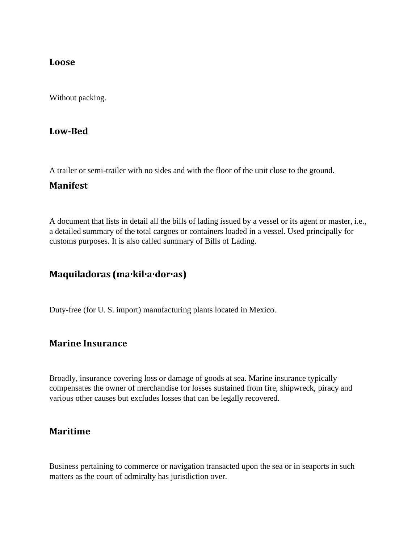#### **Loose**

Without packing.

#### **Low-Bed**

A trailer or semi-trailer with no sides and with the floor of the unit close to the ground.

#### **Manifest**

A document that lists in detail all the bills of lading issued by a vessel or its agent or master, i.e., a detailed summary of the total cargoes or containers loaded in a vessel. Used principally for customs purposes. It is also called summary of Bills of Lading.

# **Maquiladoras (ma·kil·a·dor·as)**

Duty-free (for U. S. import) manufacturing plants located in Mexico.

#### **Marine Insurance**

Broadly, insurance covering loss or damage of goods at sea. Marine insurance typically compensates the owner of merchandise for losses sustained from fire, shipwreck, piracy and various other causes but excludes losses that can be legally recovered.

#### **Maritime**

Business pertaining to commerce or navigation transacted upon the sea or in seaports in such matters as the court of admiralty has jurisdiction over.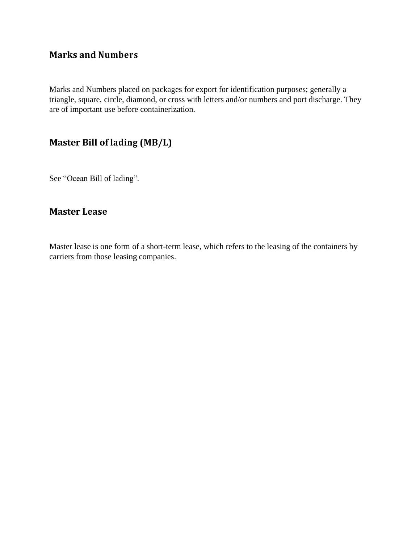# **Marks and Numbers**

Marks and Numbers placed on packages for export for identification purposes; generally a triangle, square, circle, diamond, or cross with letters and/or numbers and port discharge. They are of important use before containerization.

# **Master Bill of lading (MB/L)**

See "Ocean Bill of lading".

#### **Master Lease**

Master lease is one form of a short-term lease, which refers to the leasing of the containers by carriers from those leasing companies.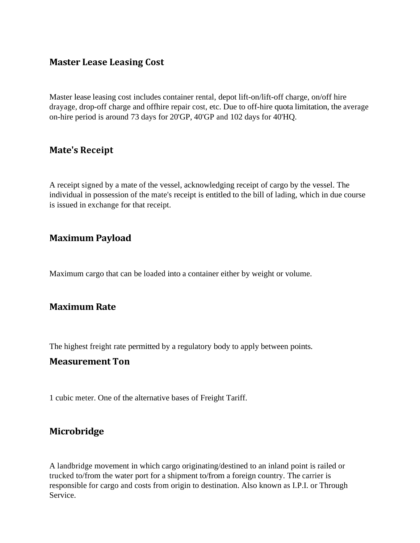### **Master Lease Leasing Cost**

Master lease leasing cost includes container rental, depot lift-on/lift-off charge, on/off hire drayage, drop-off charge and offhire repair cost, etc. Due to off-hire quota limitation, the average on-hire period is around 73 days for 20'GP, 40'GP and 102 days for 40'HQ.

#### **Mate's Receipt**

A receipt signed by a mate of the vessel, acknowledging receipt of cargo by the vessel. The individual in possession of the mate's receipt is entitled to the bill of lading, which in due course is issued in exchange for that receipt.

#### **Maximum Payload**

Maximum cargo that can be loaded into a container either by weight or volume.

#### **Maximum Rate**

The highest freight rate permitted by a regulatory body to apply between points.

#### **Measurement Ton**

1 cubic meter. One of the alternative bases of Freight Tariff.

### **Microbridge**

A landbridge movement in which cargo originating/destined to an inland point is railed or trucked to/from the water port for a shipment to/from a foreign country. The carrier is responsible for cargo and costs from origin to destination. Also known as I.P.I. or Through Service.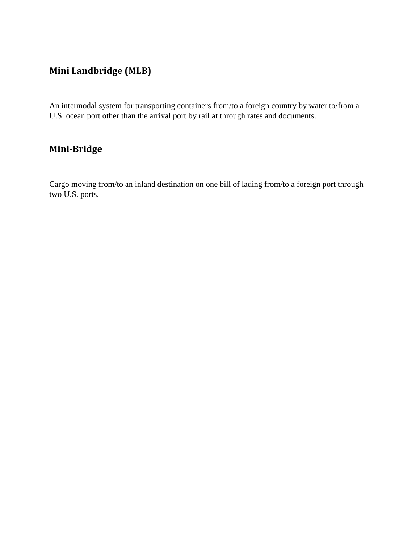# **Mini Landbridge (MLB)**

An intermodal system for transporting containers from/to a foreign country by water to/from a U.S. ocean port other than the arrival port by rail at through rates and documents.

# **Mini-Bridge**

Cargo moving from/to an inland destination on one bill of lading from/to a foreign port through two U.S. ports.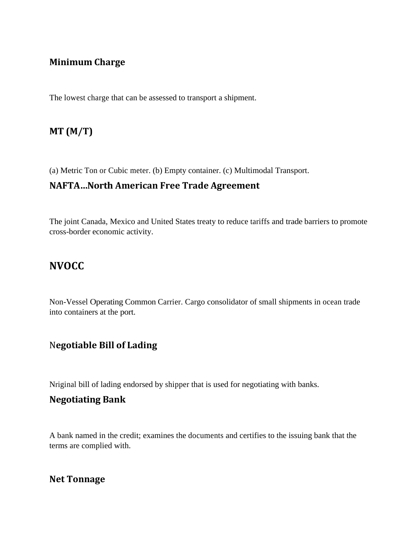## **Minimum Charge**

The lowest charge that can be assessed to transport a shipment.

# **MT (M/T)**

(a) Metric Ton or Cubic meter. (b) Empty container. (c) Multimodal Transport.

## **NAFTA…North American Free Trade Agreement**

The joint Canada, Mexico and United States treaty to reduce tariffs and trade barriers to promote cross-border economic activity.

# **NVOCC**

Non-Vessel Operating Common Carrier. Cargo consolidator of small shipments in ocean trade into containers at the port.

# N**egotiable Bill of Lading**

Nriginal bill of lading endorsed by shipper that is used for negotiating with banks.

#### **Negotiating Bank**

A bank named in the credit; examines the documents and certifies to the issuing bank that the terms are complied with.

## **Net Tonnage**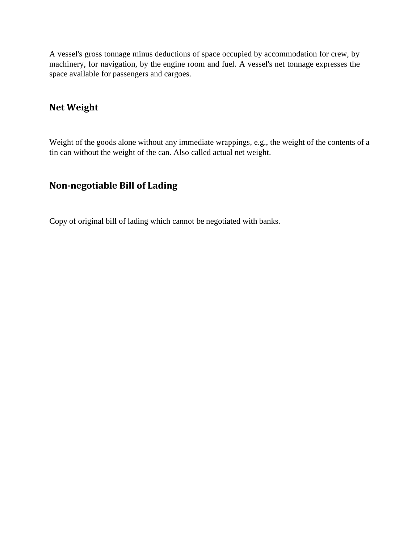A vessel's gross tonnage minus deductions of space occupied by accommodation for crew, by machinery, for navigation, by the engine room and fuel. A vessel's net tonnage expresses the space available for passengers and cargoes.

# **Net Weight**

Weight of the goods alone without any immediate wrappings, e.g., the weight of the contents of a tin can without the weight of the can. Also called actual net weight.

# **Non-negotiable Bill of Lading**

Copy of original bill of lading which cannot be negotiated with banks.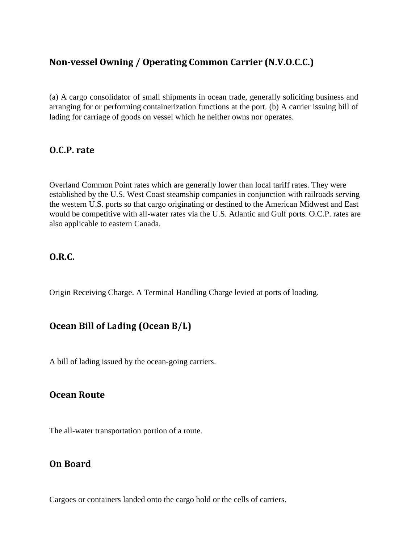# **Non-vessel Owning / Operating Common Carrier (N.V.O.C.C.)**

(a) A cargo consolidator of small shipments in ocean trade, generally soliciting business and arranging for or performing containerization functions at the port. (b) A carrier issuing bill of lading for carriage of goods on vessel which he neither owns nor operates.

## **O.C.P. rate**

Overland Common Point rates which are generally lower than local tariff rates. They were established by the U.S. West Coast steamship companies in conjunction with railroads serving the western U.S. ports so that cargo originating or destined to the American Midwest and East would be competitive with all-water rates via the U.S. Atlantic and Gulf ports. O.C.P. rates are also applicable to eastern Canada.

#### **O.R.C.**

Origin Receiving Charge. A Terminal Handling Charge levied at ports of loading.

## **Ocean Bill of Lading (Ocean B/L)**

A bill of lading issued by the ocean-going carriers.

#### **Ocean Route**

The all-water transportation portion of a route.

#### **On Board**

Cargoes or containers landed onto the cargo hold or the cells of carriers.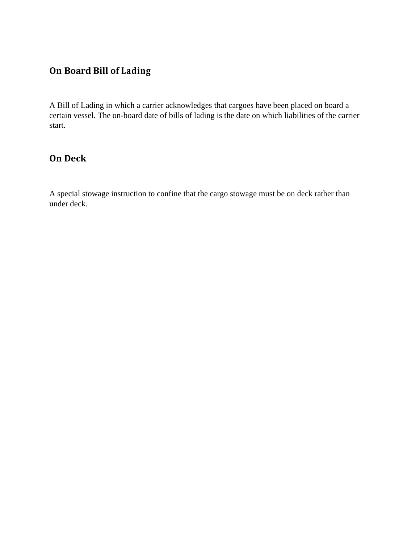# **On Board Bill of Lading**

A Bill of Lading in which a carrier acknowledges that cargoes have been placed on board a certain vessel. The on-board date of bills of lading is the date on which liabilities of the carrier start.

## **On Deck**

A special stowage instruction to confine that the cargo stowage must be on deck rather than under deck.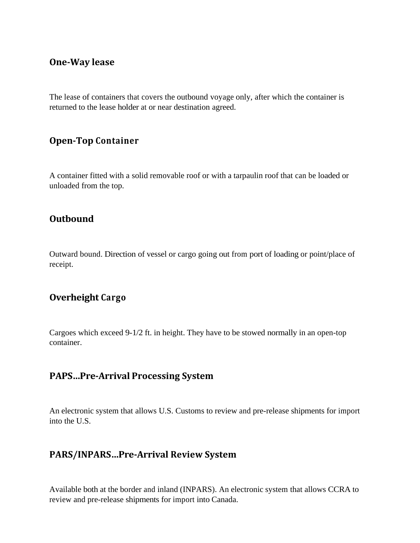#### **One-Way lease**

The lease of containers that covers the outbound voyage only, after which the container is returned to the lease holder at or near destination agreed.

# **Open-Top Container**

A container fitted with a solid removable roof or with a tarpaulin roof that can be loaded or unloaded from the top.

## **Outbound**

Outward bound. Direction of vessel or cargo going out from port of loading or point/place of receipt.

## **Overheight Cargo**

Cargoes which exceed 9-1/2 ft. in height. They have to be stowed normally in an open-top container.

## **PAPS…Pre-Arrival Processing System**

An electronic system that allows U.S. Customs to review and pre-release shipments for import into the U.S.

## **PARS/INPARS…Pre-Arrival Review System**

Available both at the border and inland (INPARS). An electronic system that allows CCRA to review and pre-release shipments for import into Canada.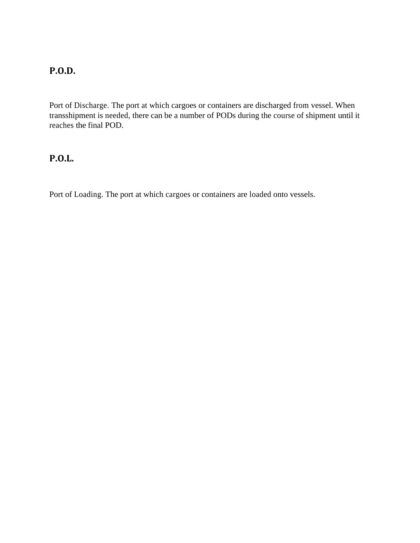# **P.O.D.**

Port of Discharge. The port at which cargoes or containers are discharged from vessel. When transshipment is needed, there can be a number of PODs during the course of shipment until it reaches the final POD.

## **P.O.L.**

Port of Loading. The port at which cargoes or containers are loaded onto vessels.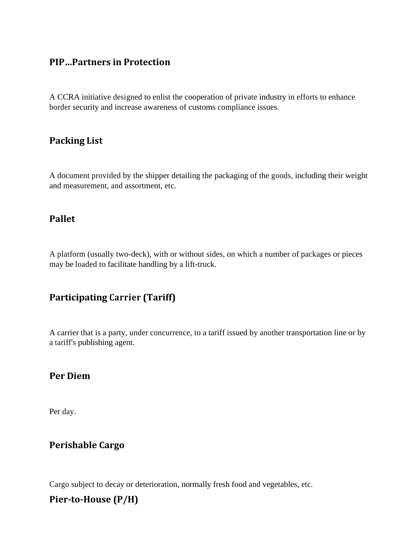## **PIP…Partners in Protection**

A CCRA initiative designed to enlist the cooperation of private industry in efforts to enhance border security and increase awareness of customs compliance issues.

## **Packing List**

A document provided by the shipper detailing the packaging of the goods, including their weight and measurement, and assortment, etc.

## **Pallet**

A platform (usually two-deck), with or without sides, on which a number of packages or pieces may be loaded to facilitate handling by a lift-truck.

# **Participating Carrier (Tariff)**

A carrier that is a party, under concurrence, to a tariff issued by another transportation line or by a tariff's publishing agent.

#### **Per Diem**

Per day.

## **Perishable Cargo**

Cargo subject to decay or deterioration, normally fresh food and vegetables, etc.

# **Pier-to-House (P/H)**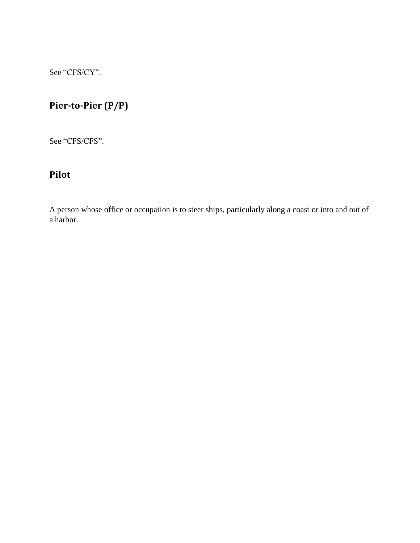See "CFS/CY".

# **Pier-to-Pier (P/P)**

See "CFS/CFS".

# **Pilot**

A person whose office or occupation is to steer ships, particularly along a coast or into and out of a harbor.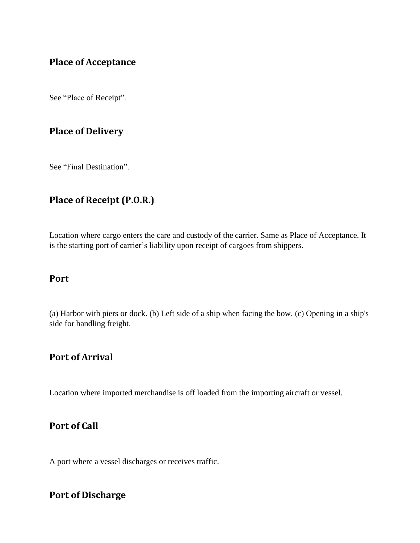## **Place of Acceptance**

See "Place of Receipt".

## **Place of Delivery**

See "Final Destination".

# **Place of Receipt (P.O.R.)**

Location where cargo enters the care and custody of the carrier. Same as Place of Acceptance. It is the starting port of carrier's liability upon receipt of cargoes from shippers.

#### **Port**

(a) Harbor with piers or dock. (b) Left side of a ship when facing the bow. (c) Opening in a ship's side for handling freight.

# **Port of Arrival**

Location where imported merchandise is off loaded from the importing aircraft or vessel.

#### **Port of Call**

A port where a vessel discharges or receives traffic.

# **Port of Discharge**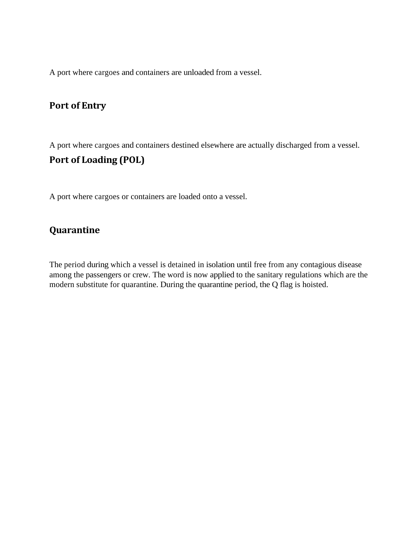A port where cargoes and containers are unloaded from a vessel.

#### **Port of Entry**

A port where cargoes and containers destined elsewhere are actually discharged from a vessel. **Port of Loading (POL)**

A port where cargoes or containers are loaded onto a vessel.

# **Quarantine**

The period during which a vessel is detained in isolation until free from any contagious disease among the passengers or crew. The word is now applied to the sanitary regulations which are the modern substitute for quarantine. During the quarantine period, the Q flag is hoisted.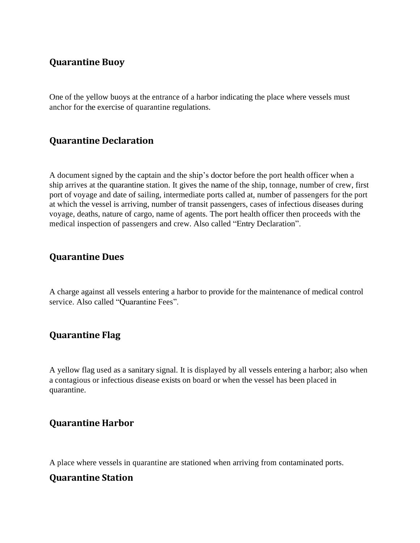## **Quarantine Buoy**

One of the yellow buoys at the entrance of a harbor indicating the place where vessels must anchor for the exercise of quarantine regulations.

## **Quarantine Declaration**

A document signed by the captain and the ship's doctor before the port health officer when a ship arrives at the quarantine station. It gives the name of the ship, tonnage, number of crew, first port of voyage and date of sailing, intermediate ports called at, number of passengers for the port at which the vessel is arriving, number of transit passengers, cases of infectious diseases during voyage, deaths, nature of cargo, name of agents. The port health officer then proceeds with the medical inspection of passengers and crew. Also called "Entry Declaration".

#### **Quarantine Dues**

A charge against all vessels entering a harbor to provide for the maintenance of medical control service. Also called "Quarantine Fees".

## **Quarantine Flag**

A yellow flag used as a sanitary signal. It is displayed by all vessels entering a harbor; also when a contagious or infectious disease exists on board or when the vessel has been placed in quarantine.

## **Quarantine Harbor**

A place where vessels in quarantine are stationed when arriving from contaminated ports.

#### **Quarantine Station**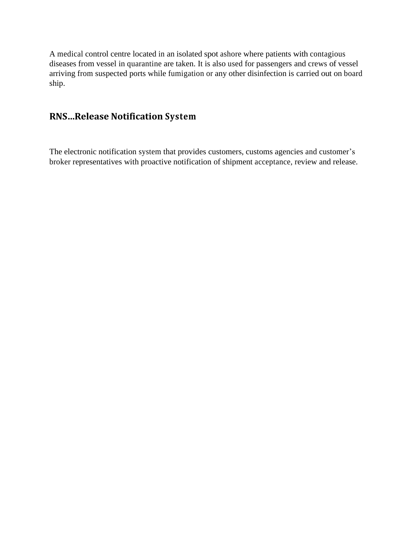A medical control centre located in an isolated spot ashore where patients with contagious diseases from vessel in quarantine are taken. It is also used for passengers and crews of vessel arriving from suspected ports while fumigation or any other disinfection is carried out on board ship.

## **RNS…Release Notification System**

The electronic notification system that provides customers, customs agencies and customer's broker representatives with proactive notification of shipment acceptance, review and release.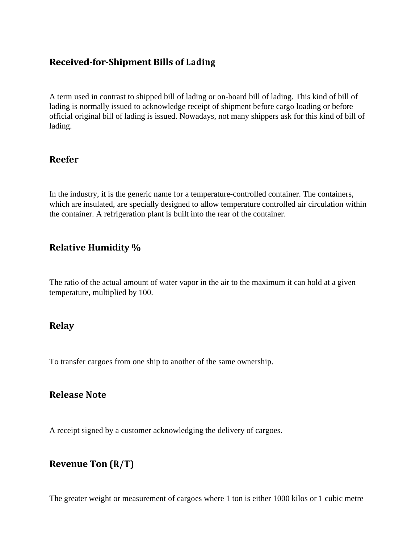### **Received-for-Shipment Bills of Lading**

A term used in contrast to shipped bill of lading or on-board bill of lading. This kind of bill of lading is normally issued to acknowledge receipt of shipment before cargo loading or before official original bill of lading is issued. Nowadays, not many shippers ask for this kind of bill of lading.

### **Reefer**

In the industry, it is the generic name for a temperature-controlled container. The containers, which are insulated, are specially designed to allow temperature controlled air circulation within the container. A refrigeration plant is built into the rear of the container.

## **Relative Humidity %**

The ratio of the actual amount of water vapor in the air to the maximum it can hold at a given temperature, multiplied by 100.

## **Relay**

To transfer cargoes from one ship to another of the same ownership.

#### **Release Note**

A receipt signed by a customer acknowledging the delivery of cargoes.

## **Revenue Ton (R/T)**

The greater weight or measurement of cargoes where 1 ton is either 1000 kilos or 1 cubic metre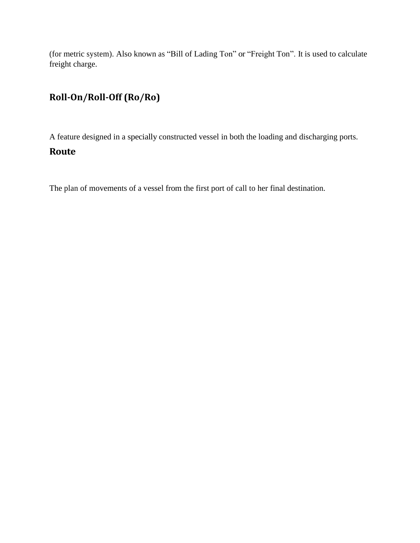(for metric system). Also known as "Bill of Lading Ton" or "Freight Ton". It is used to calculate freight charge.

# **Roll-On/Roll-Off (Ro/Ro)**

A feature designed in a specially constructed vessel in both the loading and discharging ports.

# **Route**

The plan of movements of a vessel from the first port of call to her final destination.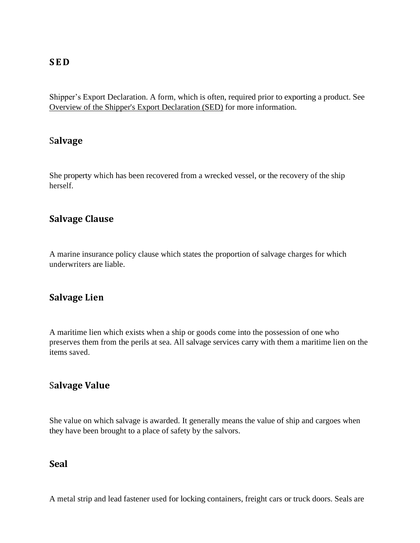## **S E D**

Shipper's Export Declaration. A form, which is often, required prior to exporting a product. See [Overview of the Shipper's Export Declaration \(SED\)](http://www.odfl.com/service/Global/SEDInfo.shtml) [f](http://www.odfl.com/service/Global/SEDInfo.shtml)or more information.

#### S**alvage**

She property which has been recovered from a wrecked vessel, or the recovery of the ship herself.

#### **Salvage Clause**

A marine insurance policy clause which states the proportion of salvage charges for which underwriters are liable.

#### **Salvage Lien**

A maritime lien which exists when a ship or goods come into the possession of one who preserves them from the perils at sea. All salvage services carry with them a maritime lien on the items saved.

#### S**alvage Value**

She value on which salvage is awarded. It generally means the value of ship and cargoes when they have been brought to a place of safety by the salvors.

#### **Seal**

A metal strip and lead fastener used for locking containers, freight cars or truck doors. Seals are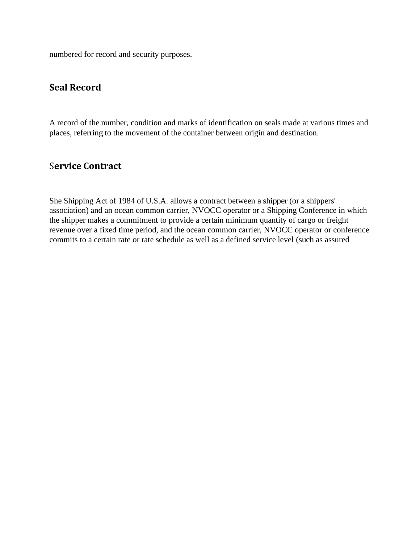numbered for record and security purposes.

### **Seal Record**

A record of the number, condition and marks of identification on seals made at various times and places, referring to the movement of the container between origin and destination.

#### S**ervice Contract**

She Shipping Act of 1984 of U.S.A. allows a contract between a shipper (or a shippers' association) and an ocean common carrier, NVOCC operator or a Shipping Conference in which the shipper makes a commitment to provide a certain minimum quantity of cargo or freight revenue over a fixed time period, and the ocean common carrier, NVOCC operator or conference commits to a certain rate or rate schedule as well as a defined service level (such as assured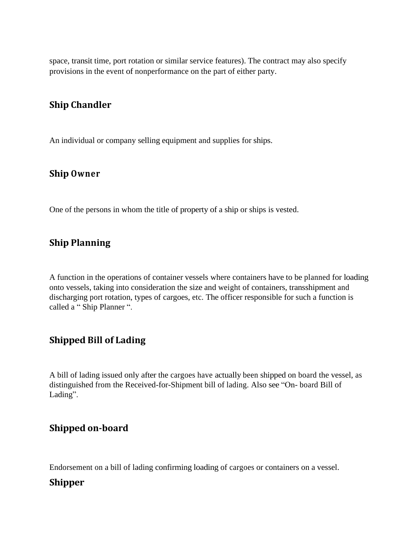space, transit time, port rotation or similar service features). The contract may also specify provisions in the event of nonperformance on the part of either party.

# **Ship Chandler**

An individual or company selling equipment and supplies for ships.

## **Ship Owner**

One of the persons in whom the title of property of a ship or ships is vested.

# **Ship Planning**

A function in the operations of container vessels where containers have to be planned for loading onto vessels, taking into consideration the size and weight of containers, transshipment and discharging port rotation, types of cargoes, etc. The officer responsible for such a function is called a " Ship Planner ".

# **Shipped Bill of Lading**

A bill of lading issued only after the cargoes have actually been shipped on board the vessel, as distinguished from the Received-for-Shipment bill of lading. Also see "On- board Bill of Lading".

# **Shipped on-board**

Endorsement on a bill of lading confirming loading of cargoes or containers on a vessel.

# **Shipper**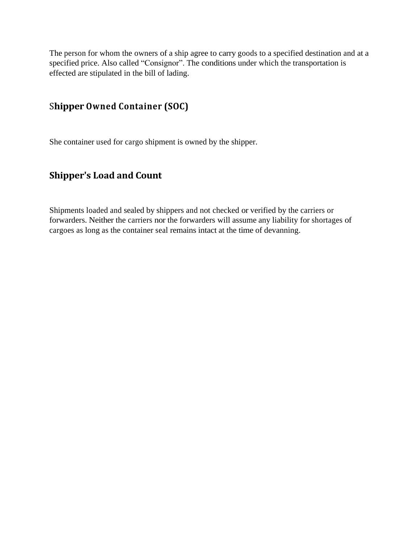The person for whom the owners of a ship agree to carry goods to a specified destination and at a specified price. Also called "Consignor". The conditions under which the transportation is effected are stipulated in the bill of lading.

# S**hipper Owned Container (SOC)**

She container used for cargo shipment is owned by the shipper.

# **Shipper's Load and Count**

Shipments loaded and sealed by shippers and not checked or verified by the carriers or forwarders. Neither the carriers nor the forwarders will assume any liability for shortages of cargoes as long as the container seal remains intact at the time of devanning.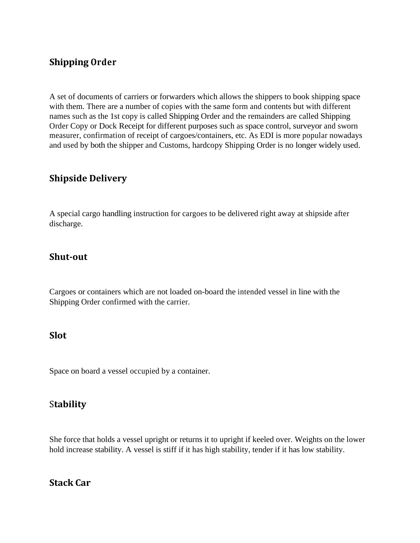## **Shipping Order**

A set of documents of carriers or forwarders which allows the shippers to book shipping space with them. There are a number of copies with the same form and contents but with different names such as the 1st copy is called Shipping Order and the remainders are called Shipping Order Copy or Dock Receipt for different purposes such as space control, surveyor and sworn measurer, confirmation of receipt of cargoes/containers, etc. As EDI is more popular nowadays and used by both the shipper and Customs, hardcopy Shipping Order is no longer widely used.

## **Shipside Delivery**

A special cargo handling instruction for cargoes to be delivered right away at shipside after discharge.

#### **Shut-out**

Cargoes or containers which are not loaded on-board the intended vessel in line with the Shipping Order confirmed with the carrier.

#### **Slot**

Space on board a vessel occupied by a container.

## S**tability**

She force that holds a vessel upright or returns it to upright if keeled over. Weights on the lower hold increase stability. A vessel is stiff if it has high stability, tender if it has low stability.

#### **Stack Car**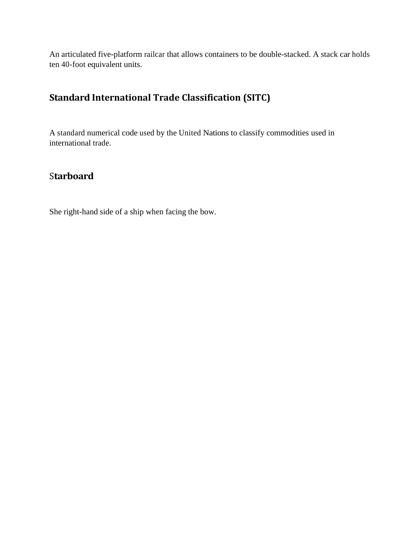An articulated five-platform railcar that allows containers to be double-stacked. A stack car holds ten 40-foot equivalent units.

# **Standard International Trade Classification (SITC)**

A standard numerical code used by the United Nations to classify commodities used in international trade.

# S**tarboard**

She right-hand side of a ship when facing the bow.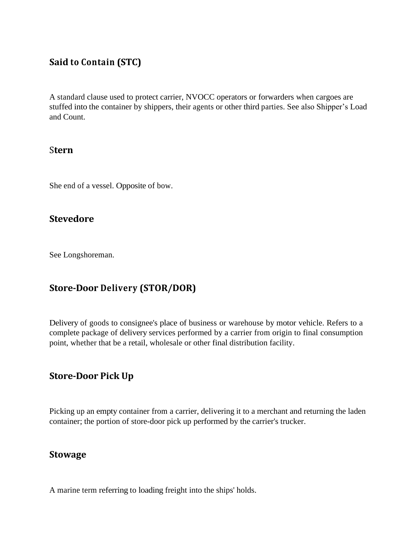# **Said to Contain (STC)**

A standard clause used to protect carrier, NVOCC operators or forwarders when cargoes are stuffed into the container by shippers, their agents or other third parties. See also Shipper's Load and Count.

#### S**tern**

She end of a vessel. Opposite of bow.

#### **Stevedore**

See Longshoreman.

## **Store-Door Delivery (STOR/DOR)**

Delivery of goods to consignee's place of business or warehouse by motor vehicle. Refers to a complete package of delivery services performed by a carrier from origin to final consumption point, whether that be a retail, wholesale or other final distribution facility.

# **Store-Door Pick Up**

Picking up an empty container from a carrier, delivering it to a merchant and returning the laden container; the portion of store-door pick up performed by the carrier's trucker.

#### **Stowage**

A marine term referring to loading freight into the ships' holds.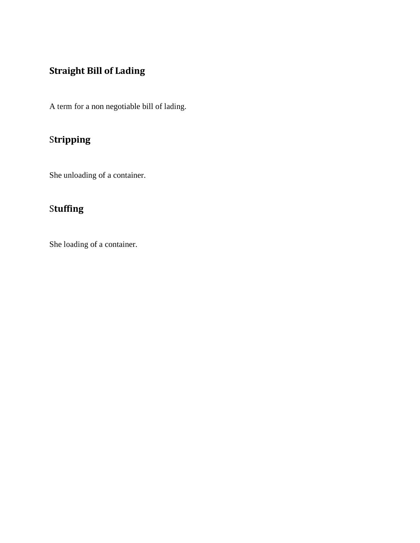# **Straight Bill of Lading**

A term for a non negotiable bill of lading.

# S**tripping**

She unloading of a container.

# S**tuffing**

She loading of a container.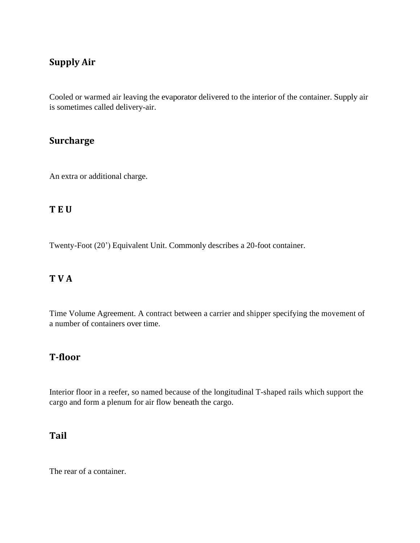### **Supply Air**

Cooled or warmed air leaving the evaporator delivered to the interior of the container. Supply air is sometimes called delivery-air.

### **Surcharge**

An extra or additional charge.

#### **T E U**

Twenty-Foot (20') Equivalent Unit. Commonly describes a 20-foot container.

### **T V A**

Time Volume Agreement. A contract between a carrier and shipper specifying the movement of a number of containers over time.

### **T-floor**

Interior floor in a reefer, so named because of the longitudinal T-shaped rails which support the cargo and form a plenum for air flow beneath the cargo.

## **Tail**

The rear of a container.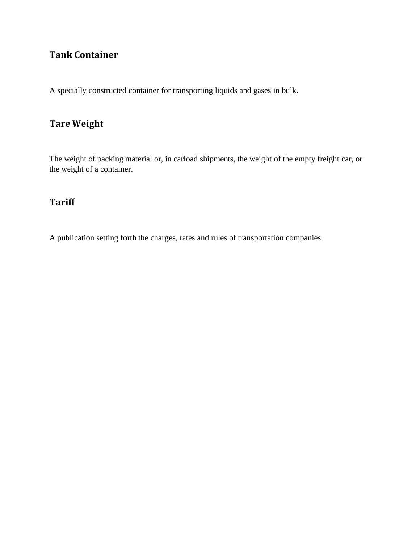## **Tank Container**

A specially constructed container for transporting liquids and gases in bulk.

# **Tare Weight**

The weight of packing material or, in carload shipments, the weight of the empty freight car, or the weight of a container.

## **Tariff**

A publication setting forth the charges, rates and rules of transportation companies.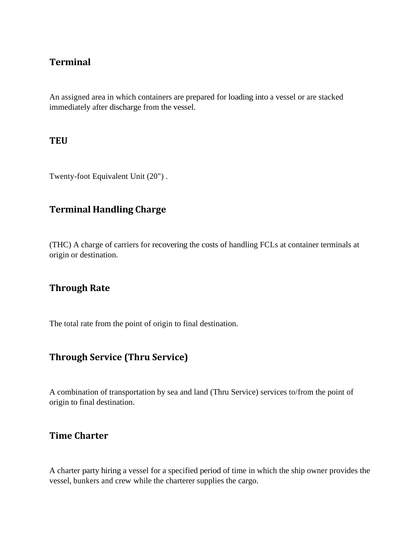### **Terminal**

An assigned area in which containers are prepared for loading into a vessel or are stacked immediately after discharge from the vessel.

#### **TEU**

Twenty-foot Equivalent Unit (20") .

### **Terminal Handling Charge**

(THC) A charge of carriers for recovering the costs of handling FCLs at container terminals at origin or destination.

### **Through Rate**

The total rate from the point of origin to final destination.

### **Through Service (Thru Service)**

A combination of transportation by sea and land (Thru Service) services to/from the point of origin to final destination.

#### **Time Charter**

A charter party hiring a vessel for a specified period of time in which the ship owner provides the vessel, bunkers and crew while the charterer supplies the cargo.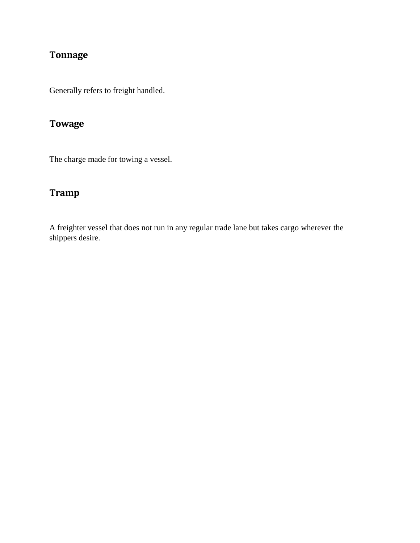# **Tonnage**

Generally refers to freight handled.

# **Towage**

The charge made for towing a vessel.

# **Tramp**

A freighter vessel that does not run in any regular trade lane but takes cargo wherever the shippers desire.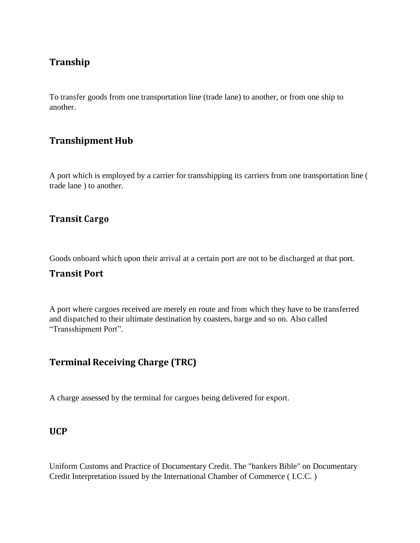### **Tranship**

To transfer goods from one transportation line (trade lane) to another, or from one ship to another.

# **Transhipment Hub**

A port which is employed by a carrier for transshipping its carriers from one transportation line ( trade lane ) to another.

### **Transit Cargo**

Goods onboard which upon their arrival at a certain port are not to be discharged at that port.

#### **Transit Port**

A port where cargoes received are merely en route and from which they have to be transferred and dispatched to their ultimate destination by coasters, barge and so on. Also called "Transshipment Port".

### **Terminal Receiving Charge (TRC)**

A charge assessed by the terminal for cargoes being delivered for export.

#### **UCP**

Uniform Customs and Practice of Documentary Credit. The "bankers Bible" on Documentary Credit Interpretation issued by the International Chamber of Commerce ( I.C.C. )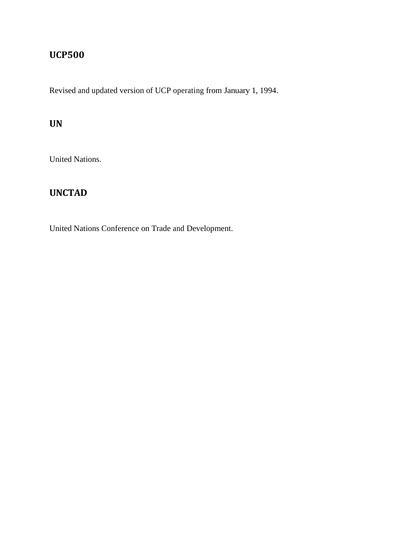# **UCP500**

Revised and updated version of UCP operating from January 1, 1994.

### **UN**

United Nations.

## **UNCTAD**

United Nations Conference on Trade and Development.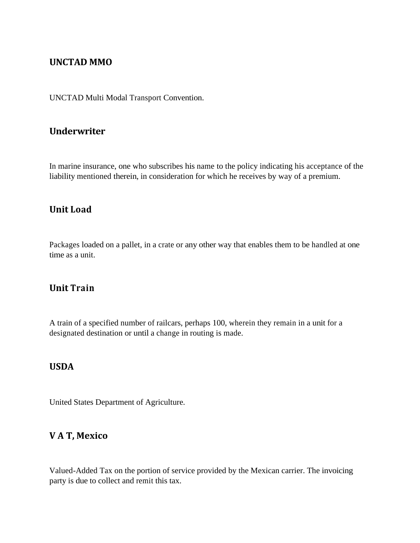#### **UNCTAD MMO**

UNCTAD Multi Modal Transport Convention.

#### **Underwriter**

In marine insurance, one who subscribes his name to the policy indicating his acceptance of the liability mentioned therein, in consideration for which he receives by way of a premium.

### **Unit Load**

Packages loaded on a pallet, in a crate or any other way that enables them to be handled at one time as a unit.

#### **Unit Train**

A train of a specified number of railcars, perhaps 100, wherein they remain in a unit for a designated destination or until a change in routing is made.

#### **USDA**

United States Department of Agriculture.

### **V A T, Mexico**

Valued-Added Tax on the portion of service provided by the Mexican carrier. The invoicing party is due to collect and remit this tax.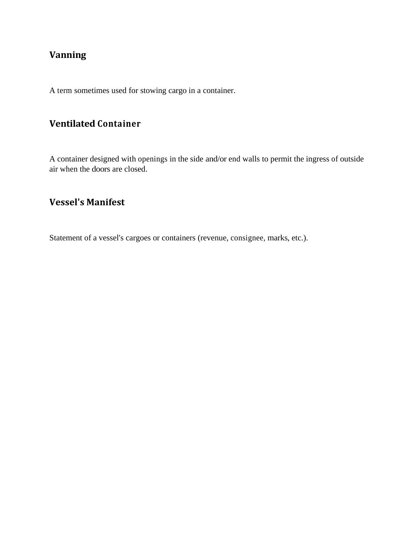# **Vanning**

A term sometimes used for stowing cargo in a container.

## **Ventilated Container**

A container designed with openings in the side and/or end walls to permit the ingress of outside air when the doors are closed.

## **Vessel's Manifest**

Statement of a vessel's cargoes or containers (revenue, consignee, marks, etc.).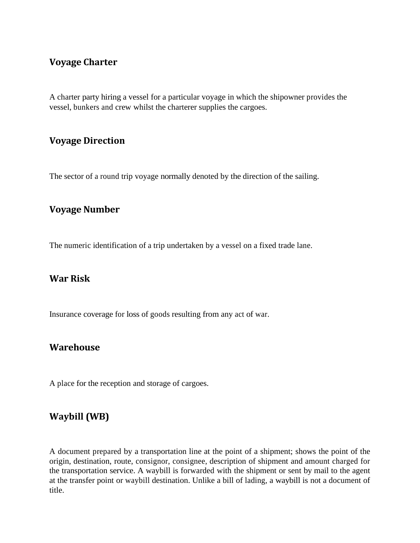#### **Voyage Charter**

A charter party hiring a vessel for a particular voyage in which the shipowner provides the vessel, bunkers and crew whilst the charterer supplies the cargoes.

### **Voyage Direction**

The sector of a round trip voyage normally denoted by the direction of the sailing.

#### **Voyage Number**

The numeric identification of a trip undertaken by a vessel on a fixed trade lane.

### **War Risk**

Insurance coverage for loss of goods resulting from any act of war.

#### **Warehouse**

A place for the reception and storage of cargoes.

### **Waybill (WB)**

A document prepared by a transportation line at the point of a shipment; shows the point of the origin, destination, route, consignor, consignee, description of shipment and amount charged for the transportation service. A waybill is forwarded with the shipment or sent by mail to the agent at the transfer point or waybill destination. Unlike a bill of lading, a waybill is not a document of title.